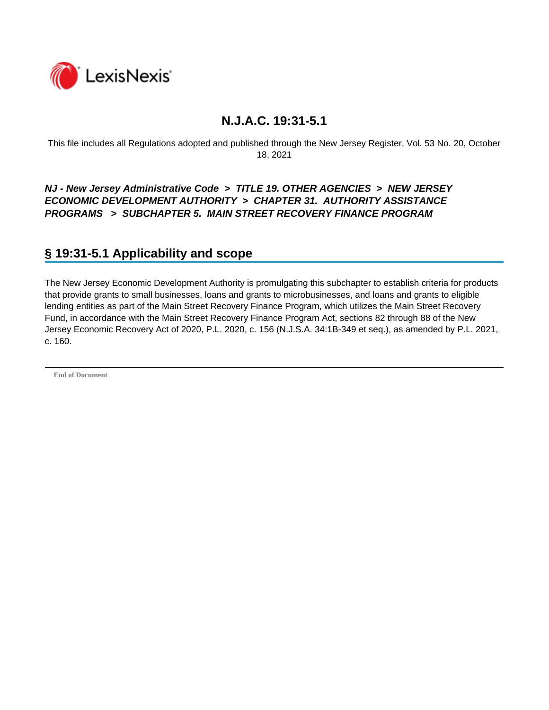

This file includes all Regulations adopted and published through the New Jersey Register, Vol. 53 No. 20, October 18, 2021

*NJ - New Jersey Administrative Code* **>** *TITLE 19. OTHER AGENCIES* **>** *NEW JERSEY ECONOMIC DEVELOPMENT AUTHORITY* **>** *CHAPTER 31. AUTHORITY ASSISTANCE PROGRAMS* **>** *SUBCHAPTER 5. MAIN STREET RECOVERY FINANCE PROGRAM* 

## **§ 19:31-5.1 Applicability and scope**

The New Jersey Economic Development Authority is promulgating this subchapter to establish criteria for products that provide grants to small businesses, loans and grants to microbusinesses, and loans and grants to eligible lending entities as part of the Main Street Recovery Finance Program, which utilizes the Main Street Recovery Fund, in accordance with the Main Street Recovery Finance Program Act, sections 82 through 88 of the New Jersey Economic Recovery Act of 2020, P.L. 2020, c. 156 (N.J.S.A. 34:1B-349 et seq.), as amended by P.L. 2021, c. 160.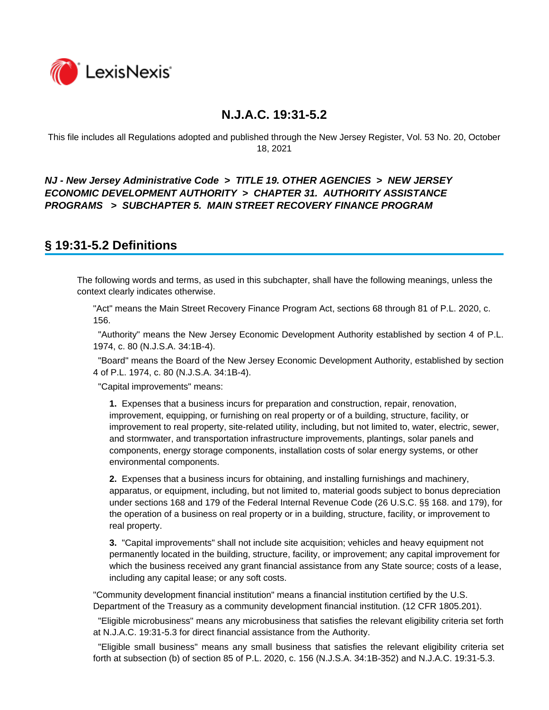

This file includes all Regulations adopted and published through the New Jersey Register, Vol. 53 No. 20, October 18, 2021

### *NJ - New Jersey Administrative Code* **>** *TITLE 19. OTHER AGENCIES* **>** *NEW JERSEY ECONOMIC DEVELOPMENT AUTHORITY* **>** *CHAPTER 31. AUTHORITY ASSISTANCE PROGRAMS* **>** *SUBCHAPTER 5. MAIN STREET RECOVERY FINANCE PROGRAM*

### **§ 19:31-5.2 Definitions**

The following words and terms, as used in this subchapter, shall have the following meanings, unless the context clearly indicates otherwise.

"Act" means the Main Street Recovery Finance Program Act, sections 68 through 81 of P.L. 2020, c. 156.

 "Authority" means the New Jersey Economic Development Authority established by section 4 of P.L. 1974, c. 80 (N.J.S.A. 34:1B-4).

 "Board" means the Board of the New Jersey Economic Development Authority, established by section 4 of P.L. 1974, c. 80 (N.J.S.A. 34:1B-4).

"Capital improvements" means:

**1.** Expenses that a business incurs for preparation and construction, repair, renovation, improvement, equipping, or furnishing on real property or of a building, structure, facility, or improvement to real property, site-related utility, including, but not limited to, water, electric, sewer, and stormwater, and transportation infrastructure improvements, plantings, solar panels and components, energy storage components, installation costs of solar energy systems, or other environmental components.

**2.** Expenses that a business incurs for obtaining, and installing furnishings and machinery, apparatus, or equipment, including, but not limited to, material goods subject to bonus depreciation under sections 168 and 179 of the Federal Internal Revenue Code (26 U.S.C. §§ 168. and 179), for the operation of a business on real property or in a building, structure, facility, or improvement to real property.

**3.** "Capital improvements" shall not include site acquisition; vehicles and heavy equipment not permanently located in the building, structure, facility, or improvement; any capital improvement for which the business received any grant financial assistance from any State source; costs of a lease, including any capital lease; or any soft costs.

"Community development financial institution" means a financial institution certified by the U.S. Department of the Treasury as a community development financial institution. (12 CFR 1805.201).

 "Eligible microbusiness" means any microbusiness that satisfies the relevant eligibility criteria set forth at N.J.A.C. 19:31-5.3 for direct financial assistance from the Authority.

 "Eligible small business" means any small business that satisfies the relevant eligibility criteria set forth at subsection (b) of section 85 of P.L. 2020, c. 156 (N.J.S.A. 34:1B-352) and N.J.A.C. 19:31-5.3.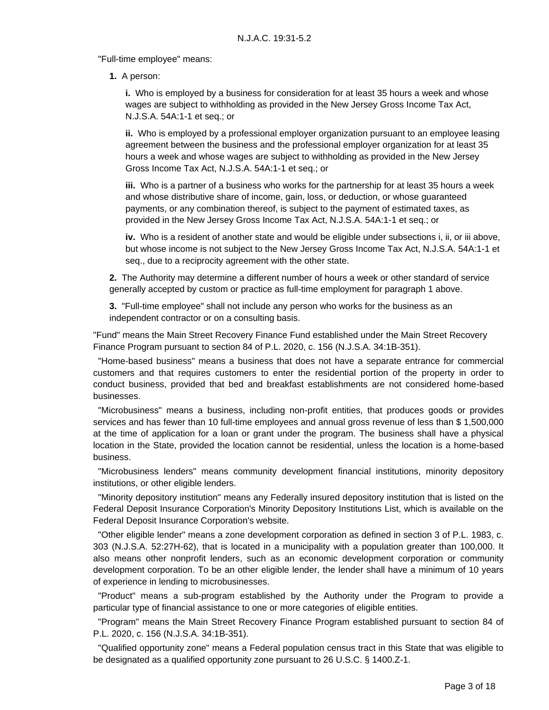"Full-time employee" means:

**1.** A person:

**i.** Who is employed by a business for consideration for at least 35 hours a week and whose wages are subject to withholding as provided in the New Jersey Gross Income Tax Act, N.J.S.A. 54A:1-1 et seq.; or

**ii.** Who is employed by a professional employer organization pursuant to an employee leasing agreement between the business and the professional employer organization for at least 35 hours a week and whose wages are subject to withholding as provided in the New Jersey Gross Income Tax Act, N.J.S.A. 54A:1-1 et seq.; or

**iii.** Who is a partner of a business who works for the partnership for at least 35 hours a week and whose distributive share of income, gain, loss, or deduction, or whose guaranteed payments, or any combination thereof, is subject to the payment of estimated taxes, as provided in the New Jersey Gross Income Tax Act, N.J.S.A. 54A:1-1 et seq.; or

**iv.** Who is a resident of another state and would be eligible under subsections i, ii, or iii above, but whose income is not subject to the New Jersey Gross Income Tax Act, N.J.S.A. 54A:1-1 et seq., due to a reciprocity agreement with the other state.

**2.** The Authority may determine a different number of hours a week or other standard of service generally accepted by custom or practice as full-time employment for paragraph 1 above.

**3.** "Full-time employee" shall not include any person who works for the business as an independent contractor or on a consulting basis.

"Fund" means the Main Street Recovery Finance Fund established under the Main Street Recovery Finance Program pursuant to section 84 of P.L. 2020, c. 156 (N.J.S.A. 34:1B-351).

 "Home-based business" means a business that does not have a separate entrance for commercial customers and that requires customers to enter the residential portion of the property in order to conduct business, provided that bed and breakfast establishments are not considered home-based businesses.

 "Microbusiness" means a business, including non-profit entities, that produces goods or provides services and has fewer than 10 full-time employees and annual gross revenue of less than \$1,500,000 at the time of application for a loan or grant under the program. The business shall have a physical location in the State, provided the location cannot be residential, unless the location is a home-based business.

 "Microbusiness lenders" means community development financial institutions, minority depository institutions, or other eligible lenders.

 "Minority depository institution" means any Federally insured depository institution that is listed on the Federal Deposit Insurance Corporation's Minority Depository Institutions List, which is available on the Federal Deposit Insurance Corporation's website.

 "Other eligible lender" means a zone development corporation as defined in section 3 of P.L. 1983, c. 303 (N.J.S.A. 52:27H-62), that is located in a municipality with a population greater than 100,000. It also means other nonprofit lenders, such as an economic development corporation or community development corporation. To be an other eligible lender, the lender shall have a minimum of 10 years of experience in lending to microbusinesses.

 "Product" means a sub-program established by the Authority under the Program to provide a particular type of financial assistance to one or more categories of eligible entities.

 "Program" means the Main Street Recovery Finance Program established pursuant to section 84 of P.L. 2020, c. 156 (N.J.S.A. 34:1B-351).

 "Qualified opportunity zone" means a Federal population census tract in this State that was eligible to be designated as a qualified opportunity zone pursuant to 26 U.S.C. § 1400.Z-1.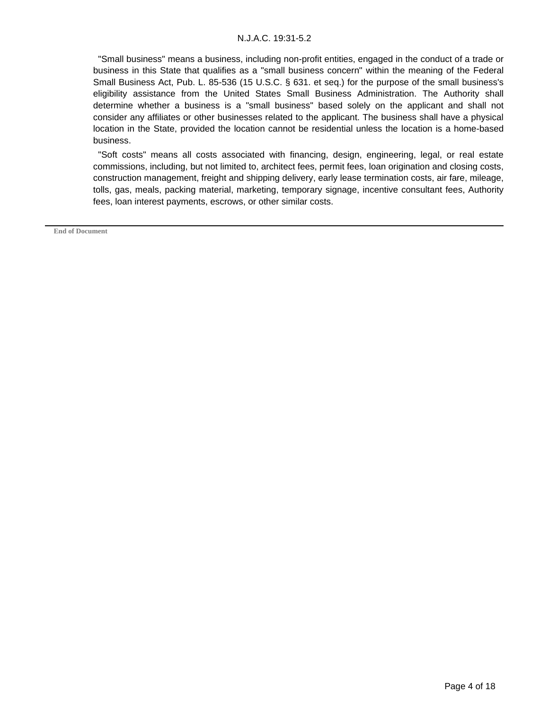"Small business" means a business, including non-profit entities, engaged in the conduct of a trade or business in this State that qualifies as a "small business concern" within the meaning of the Federal Small Business Act, Pub. L. 85-536 (15 U.S.C. § 631. et seq.) for the purpose of the small business's eligibility assistance from the United States Small Business Administration. The Authority shall determine whether a business is a "small business" based solely on the applicant and shall not consider any affiliates or other businesses related to the applicant. The business shall have a physical location in the State, provided the location cannot be residential unless the location is a home-based business.

 "Soft costs" means all costs associated with financing, design, engineering, legal, or real estate commissions, including, but not limited to, architect fees, permit fees, loan origination and closing costs, construction management, freight and shipping delivery, early lease termination costs, air fare, mileage, tolls, gas, meals, packing material, marketing, temporary signage, incentive consultant fees, Authority fees, loan interest payments, escrows, or other similar costs.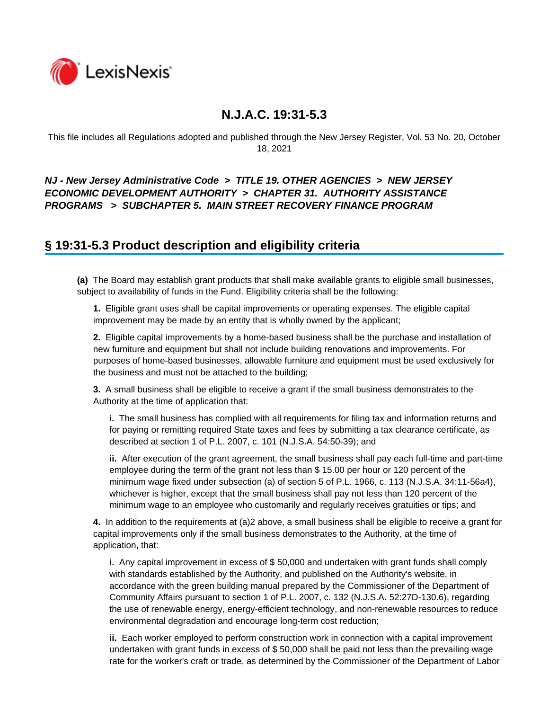

This file includes all Regulations adopted and published through the New Jersey Register, Vol. 53 No. 20, October 18, 2021

### *NJ - New Jersey Administrative Code* **>** *TITLE 19. OTHER AGENCIES* **>** *NEW JERSEY ECONOMIC DEVELOPMENT AUTHORITY* **>** *CHAPTER 31. AUTHORITY ASSISTANCE PROGRAMS* **>** *SUBCHAPTER 5. MAIN STREET RECOVERY FINANCE PROGRAM*

## **§ 19:31-5.3 Product description and eligibility criteria**

**(a)** The Board may establish grant products that shall make available grants to eligible small businesses, subject to availability of funds in the Fund. Eligibility criteria shall be the following:

**1.** Eligible grant uses shall be capital improvements or operating expenses. The eligible capital improvement may be made by an entity that is wholly owned by the applicant;

**2.** Eligible capital improvements by a home-based business shall be the purchase and installation of new furniture and equipment but shall not include building renovations and improvements. For purposes of home-based businesses, allowable furniture and equipment must be used exclusively for the business and must not be attached to the building;

**3.** A small business shall be eligible to receive a grant if the small business demonstrates to the Authority at the time of application that:

**i.** The small business has complied with all requirements for filing tax and information returns and for paying or remitting required State taxes and fees by submitting a tax clearance certificate, as described at section 1 of P.L. 2007, c. 101 (N.J.S.A. 54:50-39); and

**ii.** After execution of the grant agreement, the small business shall pay each full-time and part-time employee during the term of the grant not less than \$ 15.00 per hour or 120 percent of the minimum wage fixed under subsection (a) of section 5 of P.L. 1966, c. 113 (N.J.S.A. 34:11-56a4), whichever is higher, except that the small business shall pay not less than 120 percent of the minimum wage to an employee who customarily and regularly receives gratuities or tips; and

**4.** In addition to the requirements at (a)2 above, a small business shall be eligible to receive a grant for capital improvements only if the small business demonstrates to the Authority, at the time of application, that:

**i.** Any capital improvement in excess of \$ 50,000 and undertaken with grant funds shall comply with standards established by the Authority, and published on the Authority's website, in accordance with the green building manual prepared by the Commissioner of the Department of Community Affairs pursuant to section 1 of P.L. 2007, c. 132 (N.J.S.A. 52:27D-130.6), regarding the use of renewable energy, energy-efficient technology, and non-renewable resources to reduce environmental degradation and encourage long-term cost reduction;

**ii.** Each worker employed to perform construction work in connection with a capital improvement undertaken with grant funds in excess of \$ 50,000 shall be paid not less than the prevailing wage rate for the worker's craft or trade, as determined by the Commissioner of the Department of Labor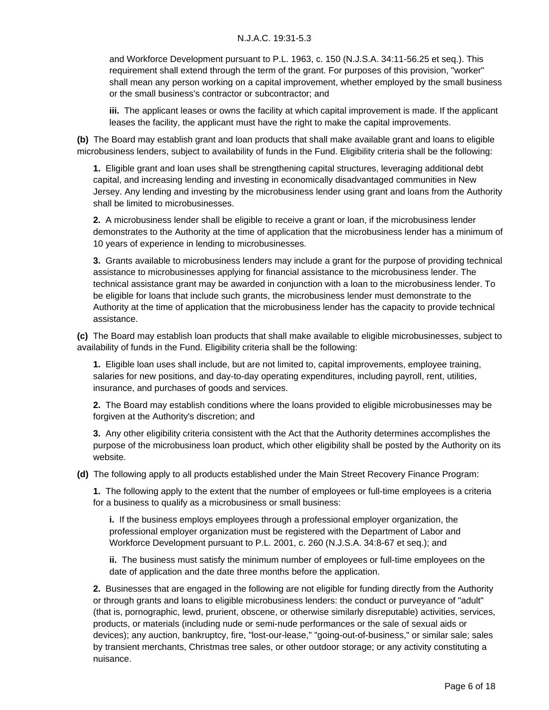and Workforce Development pursuant to P.L. 1963, c. 150 (N.J.S.A. 34:11-56.25 et seq.). This requirement shall extend through the term of the grant. For purposes of this provision, "worker" shall mean any person working on a capital improvement, whether employed by the small business or the small business's contractor or subcontractor; and

**iii.** The applicant leases or owns the facility at which capital improvement is made. If the applicant leases the facility, the applicant must have the right to make the capital improvements.

**(b)** The Board may establish grant and loan products that shall make available grant and loans to eligible microbusiness lenders, subject to availability of funds in the Fund. Eligibility criteria shall be the following:

**1.** Eligible grant and loan uses shall be strengthening capital structures, leveraging additional debt capital, and increasing lending and investing in economically disadvantaged communities in New Jersey. Any lending and investing by the microbusiness lender using grant and loans from the Authority shall be limited to microbusinesses.

**2.** A microbusiness lender shall be eligible to receive a grant or loan, if the microbusiness lender demonstrates to the Authority at the time of application that the microbusiness lender has a minimum of 10 years of experience in lending to microbusinesses.

**3.** Grants available to microbusiness lenders may include a grant for the purpose of providing technical assistance to microbusinesses applying for financial assistance to the microbusiness lender. The technical assistance grant may be awarded in conjunction with a loan to the microbusiness lender. To be eligible for loans that include such grants, the microbusiness lender must demonstrate to the Authority at the time of application that the microbusiness lender has the capacity to provide technical assistance.

**(c)** The Board may establish loan products that shall make available to eligible microbusinesses, subject to availability of funds in the Fund. Eligibility criteria shall be the following:

**1.** Eligible loan uses shall include, but are not limited to, capital improvements, employee training, salaries for new positions, and day-to-day operating expenditures, including payroll, rent, utilities, insurance, and purchases of goods and services.

**2.** The Board may establish conditions where the loans provided to eligible microbusinesses may be forgiven at the Authority's discretion; and

**3.** Any other eligibility criteria consistent with the Act that the Authority determines accomplishes the purpose of the microbusiness loan product, which other eligibility shall be posted by the Authority on its website.

**(d)** The following apply to all products established under the Main Street Recovery Finance Program:

**1.** The following apply to the extent that the number of employees or full-time employees is a criteria for a business to qualify as a microbusiness or small business:

**i.** If the business employs employees through a professional employer organization, the professional employer organization must be registered with the Department of Labor and Workforce Development pursuant to P.L. 2001, c. 260 (N.J.S.A. 34:8-67 et seq.); and

**ii.** The business must satisfy the minimum number of employees or full-time employees on the date of application and the date three months before the application.

**2.** Businesses that are engaged in the following are not eligible for funding directly from the Authority or through grants and loans to eligible microbusiness lenders: the conduct or purveyance of "adult" (that is, pornographic, lewd, prurient, obscene, or otherwise similarly disreputable) activities, services, products, or materials (including nude or semi-nude performances or the sale of sexual aids or devices); any auction, bankruptcy, fire, "lost-our-lease," "going-out-of-business," or similar sale; sales by transient merchants, Christmas tree sales, or other outdoor storage; or any activity constituting a nuisance.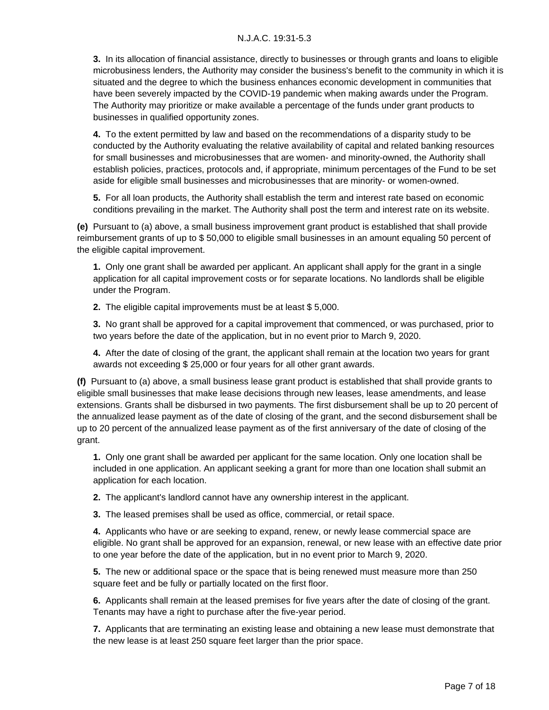**3.** In its allocation of financial assistance, directly to businesses or through grants and loans to eligible microbusiness lenders, the Authority may consider the business's benefit to the community in which it is situated and the degree to which the business enhances economic development in communities that have been severely impacted by the COVID-19 pandemic when making awards under the Program. The Authority may prioritize or make available a percentage of the funds under grant products to businesses in qualified opportunity zones.

**4.** To the extent permitted by law and based on the recommendations of a disparity study to be conducted by the Authority evaluating the relative availability of capital and related banking resources for small businesses and microbusinesses that are women- and minority-owned, the Authority shall establish policies, practices, protocols and, if appropriate, minimum percentages of the Fund to be set aside for eligible small businesses and microbusinesses that are minority- or women-owned.

**5.** For all loan products, the Authority shall establish the term and interest rate based on economic conditions prevailing in the market. The Authority shall post the term and interest rate on its website.

**(e)** Pursuant to (a) above, a small business improvement grant product is established that shall provide reimbursement grants of up to \$ 50,000 to eligible small businesses in an amount equaling 50 percent of the eligible capital improvement.

**1.** Only one grant shall be awarded per applicant. An applicant shall apply for the grant in a single application for all capital improvement costs or for separate locations. No landlords shall be eligible under the Program.

**2.** The eligible capital improvements must be at least \$ 5,000.

**3.** No grant shall be approved for a capital improvement that commenced, or was purchased, prior to two years before the date of the application, but in no event prior to March 9, 2020.

**4.** After the date of closing of the grant, the applicant shall remain at the location two years for grant awards not exceeding \$ 25,000 or four years for all other grant awards.

**(f)** Pursuant to (a) above, a small business lease grant product is established that shall provide grants to eligible small businesses that make lease decisions through new leases, lease amendments, and lease extensions. Grants shall be disbursed in two payments. The first disbursement shall be up to 20 percent of the annualized lease payment as of the date of closing of the grant, and the second disbursement shall be up to 20 percent of the annualized lease payment as of the first anniversary of the date of closing of the grant.

**1.** Only one grant shall be awarded per applicant for the same location. Only one location shall be included in one application. An applicant seeking a grant for more than one location shall submit an application for each location.

**2.** The applicant's landlord cannot have any ownership interest in the applicant.

**3.** The leased premises shall be used as office, commercial, or retail space.

**4.** Applicants who have or are seeking to expand, renew, or newly lease commercial space are eligible. No grant shall be approved for an expansion, renewal, or new lease with an effective date prior to one year before the date of the application, but in no event prior to March 9, 2020.

**5.** The new or additional space or the space that is being renewed must measure more than 250 square feet and be fully or partially located on the first floor.

**6.** Applicants shall remain at the leased premises for five years after the date of closing of the grant. Tenants may have a right to purchase after the five-year period.

**7.** Applicants that are terminating an existing lease and obtaining a new lease must demonstrate that the new lease is at least 250 square feet larger than the prior space.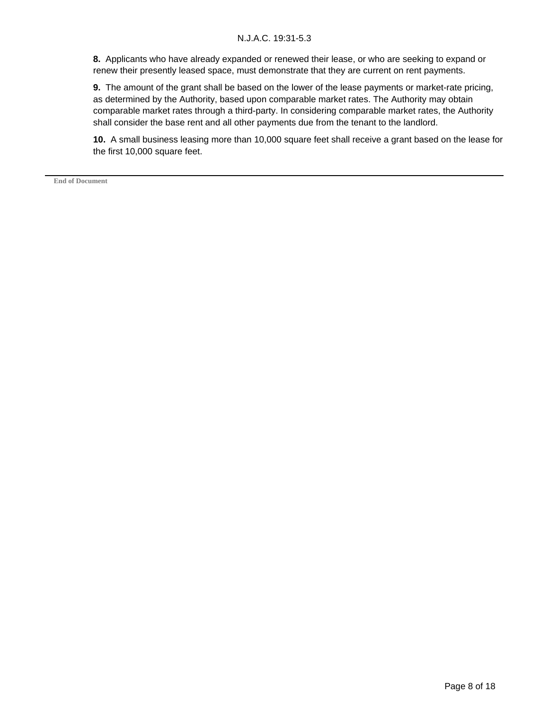**8.** Applicants who have already expanded or renewed their lease, or who are seeking to expand or renew their presently leased space, must demonstrate that they are current on rent payments.

**9.** The amount of the grant shall be based on the lower of the lease payments or market-rate pricing, as determined by the Authority, based upon comparable market rates. The Authority may obtain comparable market rates through a third-party. In considering comparable market rates, the Authority shall consider the base rent and all other payments due from the tenant to the landlord.

**10.** A small business leasing more than 10,000 square feet shall receive a grant based on the lease for the first 10,000 square feet.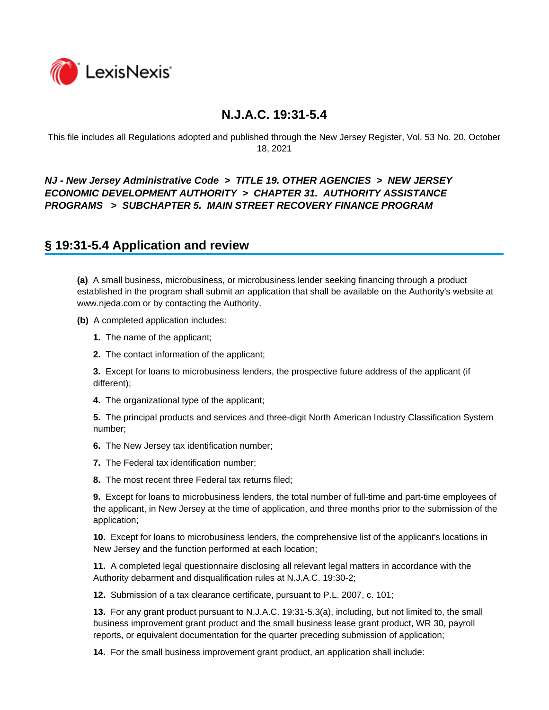

This file includes all Regulations adopted and published through the New Jersey Register, Vol. 53 No. 20, October 18, 2021

### *NJ - New Jersey Administrative Code* **>** *TITLE 19. OTHER AGENCIES* **>** *NEW JERSEY ECONOMIC DEVELOPMENT AUTHORITY* **>** *CHAPTER 31. AUTHORITY ASSISTANCE PROGRAMS* **>** *SUBCHAPTER 5. MAIN STREET RECOVERY FINANCE PROGRAM*

### **§ 19:31-5.4 Application and review**

**(a)** A small business, microbusiness, or microbusiness lender seeking financing through a product established in the program shall submit an application that shall be available on the Authority's website at www.njeda.com or by contacting the Authority.

**(b)** A completed application includes:

- **1.** The name of the applicant;
- **2.** The contact information of the applicant;

**3.** Except for loans to microbusiness lenders, the prospective future address of the applicant (if different);

**4.** The organizational type of the applicant;

**5.** The principal products and services and three-digit North American Industry Classification System number;

**6.** The New Jersey tax identification number;

- **7.** The Federal tax identification number;
- **8.** The most recent three Federal tax returns filed;

**9.** Except for loans to microbusiness lenders, the total number of full-time and part-time employees of the applicant, in New Jersey at the time of application, and three months prior to the submission of the application;

**10.** Except for loans to microbusiness lenders, the comprehensive list of the applicant's locations in New Jersey and the function performed at each location;

**11.** A completed legal questionnaire disclosing all relevant legal matters in accordance with the Authority debarment and disqualification rules at N.J.A.C. 19:30-2;

**12.** Submission of a tax clearance certificate, pursuant to P.L. 2007, c. 101;

**13.** For any grant product pursuant to N.J.A.C. 19:31-5.3(a), including, but not limited to, the small business improvement grant product and the small business lease grant product, WR 30, payroll reports, or equivalent documentation for the quarter preceding submission of application;

**14.** For the small business improvement grant product, an application shall include: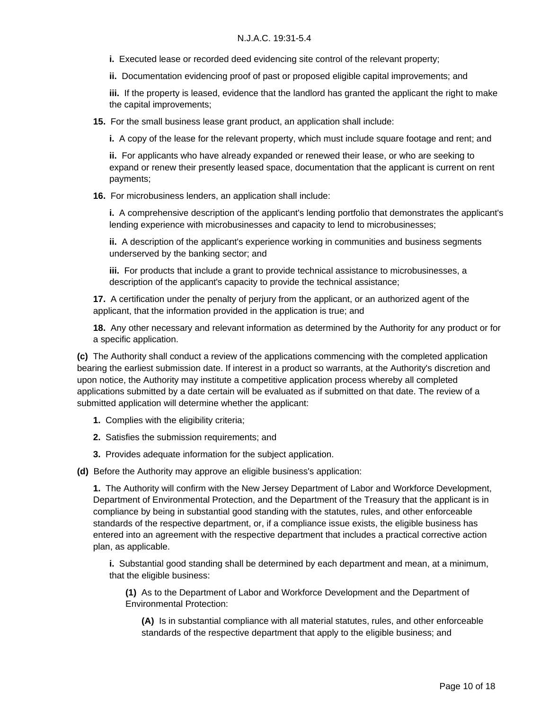- **i.** Executed lease or recorded deed evidencing site control of the relevant property;
- **ii.** Documentation evidencing proof of past or proposed eligible capital improvements; and

**iii.** If the property is leased, evidence that the landlord has granted the applicant the right to make the capital improvements;

**15.** For the small business lease grant product, an application shall include:

**i.** A copy of the lease for the relevant property, which must include square footage and rent; and

**ii.** For applicants who have already expanded or renewed their lease, or who are seeking to expand or renew their presently leased space, documentation that the applicant is current on rent payments;

**16.** For microbusiness lenders, an application shall include:

**i.** A comprehensive description of the applicant's lending portfolio that demonstrates the applicant's lending experience with microbusinesses and capacity to lend to microbusinesses;

**ii.** A description of the applicant's experience working in communities and business segments underserved by the banking sector; and

**iii.** For products that include a grant to provide technical assistance to microbusinesses, a description of the applicant's capacity to provide the technical assistance;

**17.** A certification under the penalty of perjury from the applicant, or an authorized agent of the applicant, that the information provided in the application is true; and

**18.** Any other necessary and relevant information as determined by the Authority for any product or for a specific application.

**(c)** The Authority shall conduct a review of the applications commencing with the completed application bearing the earliest submission date. If interest in a product so warrants, at the Authority's discretion and upon notice, the Authority may institute a competitive application process whereby all completed applications submitted by a date certain will be evaluated as if submitted on that date. The review of a submitted application will determine whether the applicant:

- **1.** Complies with the eligibility criteria;
- **2.** Satisfies the submission requirements; and
- **3.** Provides adequate information for the subject application.

**(d)** Before the Authority may approve an eligible business's application:

**1.** The Authority will confirm with the New Jersey Department of Labor and Workforce Development, Department of Environmental Protection, and the Department of the Treasury that the applicant is in compliance by being in substantial good standing with the statutes, rules, and other enforceable standards of the respective department, or, if a compliance issue exists, the eligible business has entered into an agreement with the respective department that includes a practical corrective action plan, as applicable.

**i.** Substantial good standing shall be determined by each department and mean, at a minimum, that the eligible business:

**(1)** As to the Department of Labor and Workforce Development and the Department of Environmental Protection:

**(A)** Is in substantial compliance with all material statutes, rules, and other enforceable standards of the respective department that apply to the eligible business; and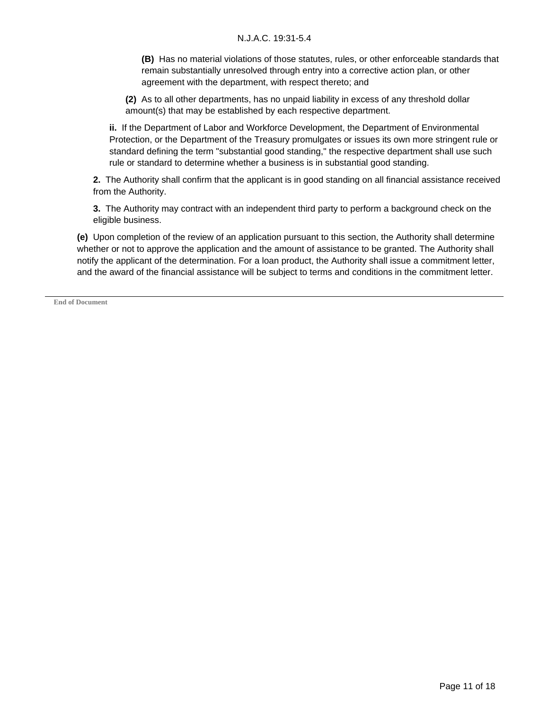**(B)** Has no material violations of those statutes, rules, or other enforceable standards that remain substantially unresolved through entry into a corrective action plan, or other agreement with the department, with respect thereto; and

**(2)** As to all other departments, has no unpaid liability in excess of any threshold dollar amount(s) that may be established by each respective department.

**ii.** If the Department of Labor and Workforce Development, the Department of Environmental Protection, or the Department of the Treasury promulgates or issues its own more stringent rule or standard defining the term "substantial good standing," the respective department shall use such rule or standard to determine whether a business is in substantial good standing.

**2.** The Authority shall confirm that the applicant is in good standing on all financial assistance received from the Authority.

**3.** The Authority may contract with an independent third party to perform a background check on the eligible business.

**(e)** Upon completion of the review of an application pursuant to this section, the Authority shall determine whether or not to approve the application and the amount of assistance to be granted. The Authority shall notify the applicant of the determination. For a loan product, the Authority shall issue a commitment letter, and the award of the financial assistance will be subject to terms and conditions in the commitment letter.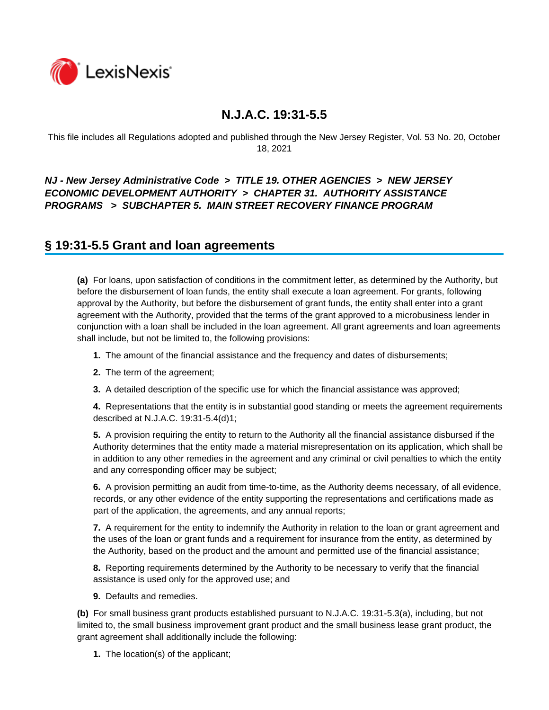

This file includes all Regulations adopted and published through the New Jersey Register, Vol. 53 No. 20, October 18, 2021

### *NJ - New Jersey Administrative Code* **>** *TITLE 19. OTHER AGENCIES* **>** *NEW JERSEY ECONOMIC DEVELOPMENT AUTHORITY* **>** *CHAPTER 31. AUTHORITY ASSISTANCE PROGRAMS* **>** *SUBCHAPTER 5. MAIN STREET RECOVERY FINANCE PROGRAM*

### **§ 19:31-5.5 Grant and loan agreements**

**(a)** For loans, upon satisfaction of conditions in the commitment letter, as determined by the Authority, but before the disbursement of loan funds, the entity shall execute a loan agreement. For grants, following approval by the Authority, but before the disbursement of grant funds, the entity shall enter into a grant agreement with the Authority, provided that the terms of the grant approved to a microbusiness lender in conjunction with a loan shall be included in the loan agreement. All grant agreements and loan agreements shall include, but not be limited to, the following provisions:

- **1.** The amount of the financial assistance and the frequency and dates of disbursements;
- **2.** The term of the agreement;
- **3.** A detailed description of the specific use for which the financial assistance was approved;

**4.** Representations that the entity is in substantial good standing or meets the agreement requirements described at N.J.A.C. 19:31-5.4(d)1;

**5.** A provision requiring the entity to return to the Authority all the financial assistance disbursed if the Authority determines that the entity made a material misrepresentation on its application, which shall be in addition to any other remedies in the agreement and any criminal or civil penalties to which the entity and any corresponding officer may be subject;

**6.** A provision permitting an audit from time-to-time, as the Authority deems necessary, of all evidence, records, or any other evidence of the entity supporting the representations and certifications made as part of the application, the agreements, and any annual reports;

**7.** A requirement for the entity to indemnify the Authority in relation to the loan or grant agreement and the uses of the loan or grant funds and a requirement for insurance from the entity, as determined by the Authority, based on the product and the amount and permitted use of the financial assistance;

**8.** Reporting requirements determined by the Authority to be necessary to verify that the financial assistance is used only for the approved use; and

**9.** Defaults and remedies.

**(b)** For small business grant products established pursuant to N.J.A.C. 19:31-5.3(a), including, but not limited to, the small business improvement grant product and the small business lease grant product, the grant agreement shall additionally include the following:

**1.** The location(s) of the applicant;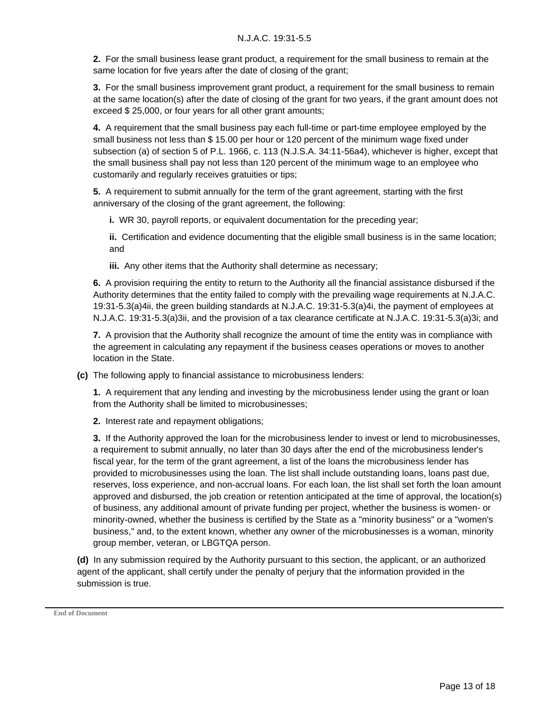**2.** For the small business lease grant product, a requirement for the small business to remain at the same location for five years after the date of closing of the grant;

**3.** For the small business improvement grant product, a requirement for the small business to remain at the same location(s) after the date of closing of the grant for two years, if the grant amount does not exceed \$ 25,000, or four years for all other grant amounts;

**4.** A requirement that the small business pay each full-time or part-time employee employed by the small business not less than \$ 15.00 per hour or 120 percent of the minimum wage fixed under subsection (a) of section 5 of P.L. 1966, c. 113 (N.J.S.A. 34:11-56a4), whichever is higher, except that the small business shall pay not less than 120 percent of the minimum wage to an employee who customarily and regularly receives gratuities or tips;

**5.** A requirement to submit annually for the term of the grant agreement, starting with the first anniversary of the closing of the grant agreement, the following:

**i.** WR 30, payroll reports, or equivalent documentation for the preceding year;

**ii.** Certification and evidence documenting that the eligible small business is in the same location; and

**iii.** Any other items that the Authority shall determine as necessary;

**6.** A provision requiring the entity to return to the Authority all the financial assistance disbursed if the Authority determines that the entity failed to comply with the prevailing wage requirements at N.J.A.C. 19:31-5.3(a)4ii, the green building standards at N.J.A.C. 19:31-5.3(a)4i, the payment of employees at N.J.A.C. 19:31-5.3(a)3ii, and the provision of a tax clearance certificate at N.J.A.C. 19:31-5.3(a)3i; and

**7.** A provision that the Authority shall recognize the amount of time the entity was in compliance with the agreement in calculating any repayment if the business ceases operations or moves to another location in the State.

**(c)** The following apply to financial assistance to microbusiness lenders:

**1.** A requirement that any lending and investing by the microbusiness lender using the grant or loan from the Authority shall be limited to microbusinesses;

**2.** Interest rate and repayment obligations;

**3.** If the Authority approved the loan for the microbusiness lender to invest or lend to microbusinesses, a requirement to submit annually, no later than 30 days after the end of the microbusiness lender's fiscal year, for the term of the grant agreement, a list of the loans the microbusiness lender has provided to microbusinesses using the loan. The list shall include outstanding loans, loans past due, reserves, loss experience, and non-accrual loans. For each loan, the list shall set forth the loan amount approved and disbursed, the job creation or retention anticipated at the time of approval, the location(s) of business, any additional amount of private funding per project, whether the business is women- or minority-owned, whether the business is certified by the State as a "minority business" or a "women's business," and, to the extent known, whether any owner of the microbusinesses is a woman, minority group member, veteran, or LBGTQA person.

**(d)** In any submission required by the Authority pursuant to this section, the applicant, or an authorized agent of the applicant, shall certify under the penalty of perjury that the information provided in the submission is true.

**End of Document**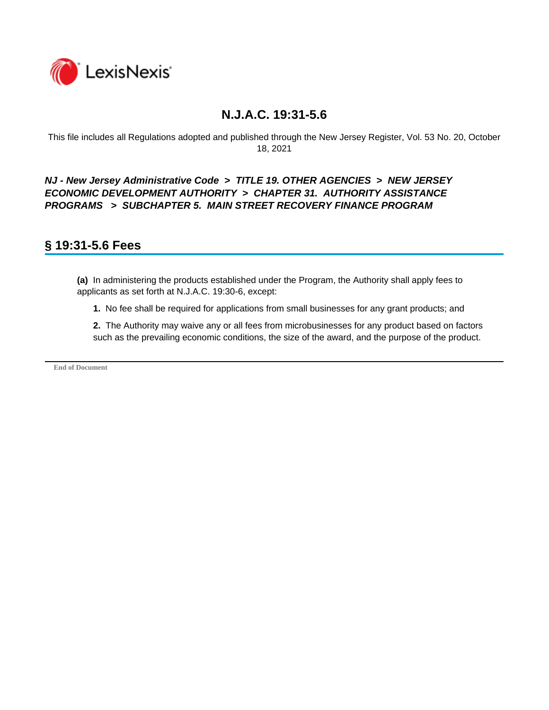

This file includes all Regulations adopted and published through the New Jersey Register, Vol. 53 No. 20, October 18, 2021

*NJ - New Jersey Administrative Code* **>** *TITLE 19. OTHER AGENCIES* **>** *NEW JERSEY ECONOMIC DEVELOPMENT AUTHORITY* **>** *CHAPTER 31. AUTHORITY ASSISTANCE PROGRAMS* **>** *SUBCHAPTER 5. MAIN STREET RECOVERY FINANCE PROGRAM* 

### **§ 19:31-5.6 Fees**

**(a)** In administering the products established under the Program, the Authority shall apply fees to applicants as set forth at N.J.A.C. 19:30-6, except:

**1.** No fee shall be required for applications from small businesses for any grant products; and

**2.** The Authority may waive any or all fees from microbusinesses for any product based on factors such as the prevailing economic conditions, the size of the award, and the purpose of the product.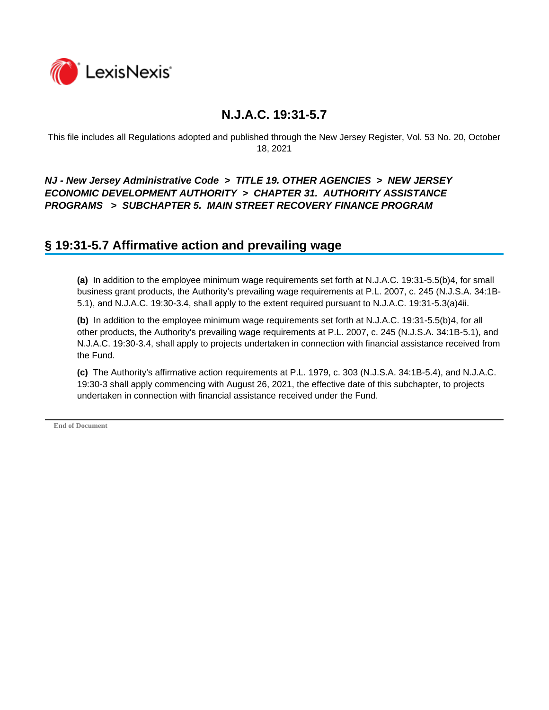

This file includes all Regulations adopted and published through the New Jersey Register, Vol. 53 No. 20, October 18, 2021

### *NJ - New Jersey Administrative Code* **>** *TITLE 19. OTHER AGENCIES* **>** *NEW JERSEY ECONOMIC DEVELOPMENT AUTHORITY* **>** *CHAPTER 31. AUTHORITY ASSISTANCE PROGRAMS* **>** *SUBCHAPTER 5. MAIN STREET RECOVERY FINANCE PROGRAM*

### **§ 19:31-5.7 Affirmative action and prevailing wage**

**(a)** In addition to the employee minimum wage requirements set forth at N.J.A.C. 19:31-5.5(b)4, for small business grant products, the Authority's prevailing wage requirements at P.L. 2007, c. 245 (N.J.S.A. 34:1B-5.1), and N.J.A.C. 19:30-3.4, shall apply to the extent required pursuant to N.J.A.C. 19:31-5.3(a)4ii.

**(b)** In addition to the employee minimum wage requirements set forth at N.J.A.C. 19:31-5.5(b)4, for all other products, the Authority's prevailing wage requirements at P.L. 2007, c. 245 (N.J.S.A. 34:1B-5.1), and N.J.A.C. 19:30-3.4, shall apply to projects undertaken in connection with financial assistance received from the Fund.

**(c)** The Authority's affirmative action requirements at P.L. 1979, c. 303 (N.J.S.A. 34:1B-5.4), and N.J.A.C. 19:30-3 shall apply commencing with August 26, 2021, the effective date of this subchapter, to projects undertaken in connection with financial assistance received under the Fund.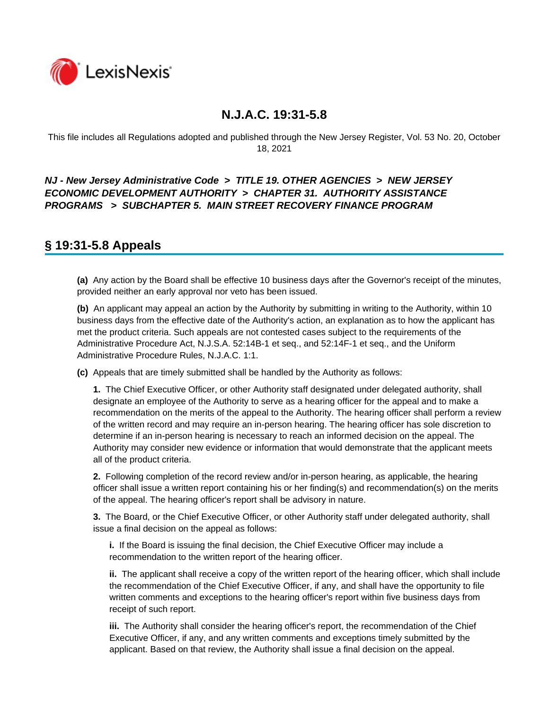

This file includes all Regulations adopted and published through the New Jersey Register, Vol. 53 No. 20, October 18, 2021

### *NJ - New Jersey Administrative Code* **>** *TITLE 19. OTHER AGENCIES* **>** *NEW JERSEY ECONOMIC DEVELOPMENT AUTHORITY* **>** *CHAPTER 31. AUTHORITY ASSISTANCE PROGRAMS* **>** *SUBCHAPTER 5. MAIN STREET RECOVERY FINANCE PROGRAM*

### **§ 19:31-5.8 Appeals**

**(a)** Any action by the Board shall be effective 10 business days after the Governor's receipt of the minutes, provided neither an early approval nor veto has been issued.

**(b)** An applicant may appeal an action by the Authority by submitting in writing to the Authority, within 10 business days from the effective date of the Authority's action, an explanation as to how the applicant has met the product criteria. Such appeals are not contested cases subject to the requirements of the Administrative Procedure Act, N.J.S.A. 52:14B-1 et seq., and 52:14F-1 et seq., and the Uniform Administrative Procedure Rules, N.J.A.C. 1:1.

**(c)** Appeals that are timely submitted shall be handled by the Authority as follows:

**1.** The Chief Executive Officer, or other Authority staff designated under delegated authority, shall designate an employee of the Authority to serve as a hearing officer for the appeal and to make a recommendation on the merits of the appeal to the Authority. The hearing officer shall perform a review of the written record and may require an in-person hearing. The hearing officer has sole discretion to determine if an in-person hearing is necessary to reach an informed decision on the appeal. The Authority may consider new evidence or information that would demonstrate that the applicant meets all of the product criteria.

**2.** Following completion of the record review and/or in-person hearing, as applicable, the hearing officer shall issue a written report containing his or her finding(s) and recommendation(s) on the merits of the appeal. The hearing officer's report shall be advisory in nature.

**3.** The Board, or the Chief Executive Officer, or other Authority staff under delegated authority, shall issue a final decision on the appeal as follows:

**i.** If the Board is issuing the final decision, the Chief Executive Officer may include a recommendation to the written report of the hearing officer.

**ii.** The applicant shall receive a copy of the written report of the hearing officer, which shall include the recommendation of the Chief Executive Officer, if any, and shall have the opportunity to file written comments and exceptions to the hearing officer's report within five business days from receipt of such report.

**iii.** The Authority shall consider the hearing officer's report, the recommendation of the Chief Executive Officer, if any, and any written comments and exceptions timely submitted by the applicant. Based on that review, the Authority shall issue a final decision on the appeal.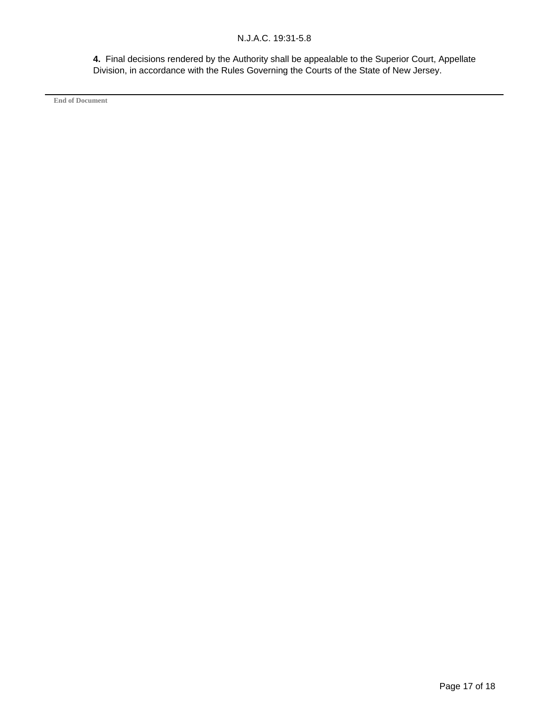**4.** Final decisions rendered by the Authority shall be appealable to the Superior Court, Appellate Division, in accordance with the Rules Governing the Courts of the State of New Jersey.